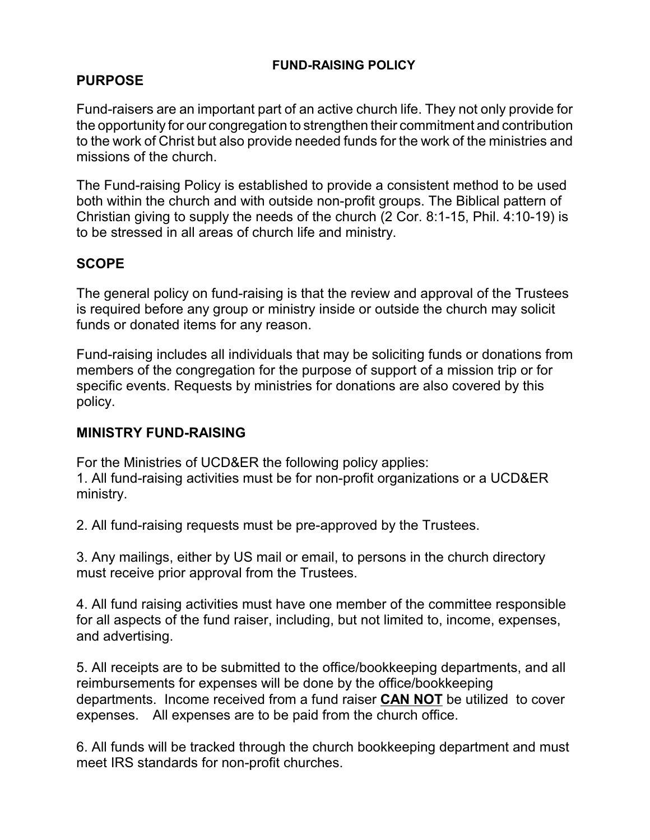#### **FUND-RAISING POLICY**

### **PURPOSE**

Fund-raisers are an important part of an active church life. They not only provide for the opportunity for our congregation to strengthen their commitment and contribution to the work of Christ but also provide needed funds for the work of the ministries and missions of the church.

The Fund-raising Policy is established to provide a consistent method to be used both within the church and with outside non-profit groups. The Biblical pattern of Christian giving to supply the needs of the church (2 Cor. 8:1-15, Phil. 4:10-19) is to be stressed in all areas of church life and ministry.

### **SCOPE**

The general policy on fund-raising is that the review and approval of the Trustees is required before any group or ministry inside or outside the church may solicit funds or donated items for any reason.

Fund-raising includes all individuals that may be soliciting funds or donations from members of the congregation for the purpose of support of a mission trip or for specific events. Requests by ministries for donations are also covered by this policy.

### **MINISTRY FUND-RAISING**

For the Ministries of UCD&ER the following policy applies: 1. All fund-raising activities must be for non-profit organizations or a UCD&ER ministry.

2. All fund-raising requests must be pre-approved by the Trustees.

3. Any mailings, either by US mail or email, to persons in the church directory must receive prior approval from the Trustees.

4. All fund raising activities must have one member of the committee responsible for all aspects of the fund raiser, including, but not limited to, income, expenses, and advertising.

5. All receipts are to be submitted to the office/bookkeeping departments, and all reimbursements for expenses will be done by the office/bookkeeping departments. Income received from a fund raiser **CAN NOT** be utilized to cover expenses. All expenses are to be paid from the church office.

6. All funds will be tracked through the church bookkeeping department and must meet IRS standards for non-profit churches.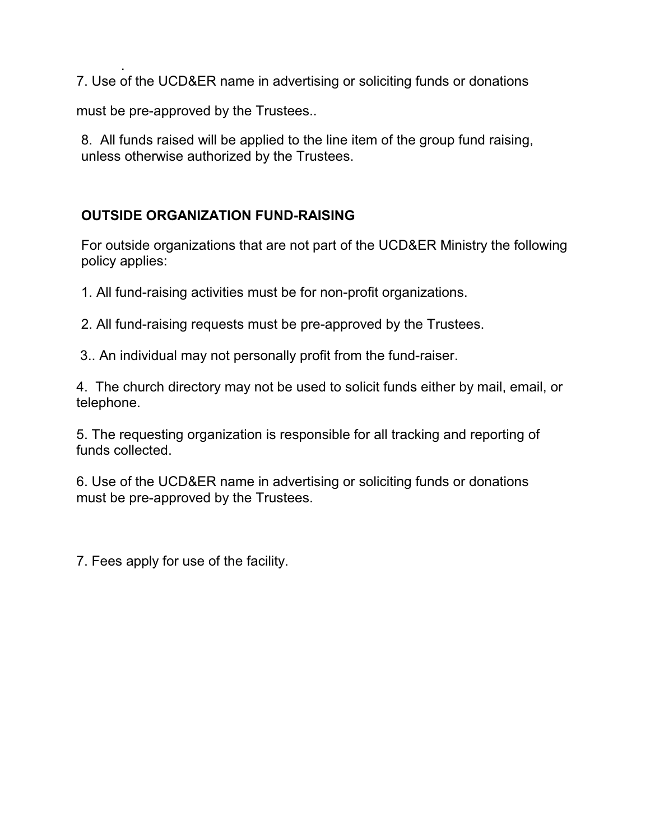. 7. Use of the UCD&ER name in advertising or soliciting funds or donations

must be pre-approved by the Trustees..

8. All funds raised will be applied to the line item of the group fund raising, unless otherwise authorized by the Trustees.

## **OUTSIDE ORGANIZATION FUND-RAISING**

For outside organizations that are not part of the UCD&ER Ministry the following policy applies:

1. All fund-raising activities must be for non-profit organizations.

2. All fund-raising requests must be pre-approved by the Trustees.

3.. An individual may not personally profit from the fund-raiser.

4. The church directory may not be used to solicit funds either by mail, email, or telephone.

5. The requesting organization is responsible for all tracking and reporting of funds collected.

6. Use of the UCD&ER name in advertising or soliciting funds or donations must be pre-approved by the Trustees.

7. Fees apply for use of the facility.